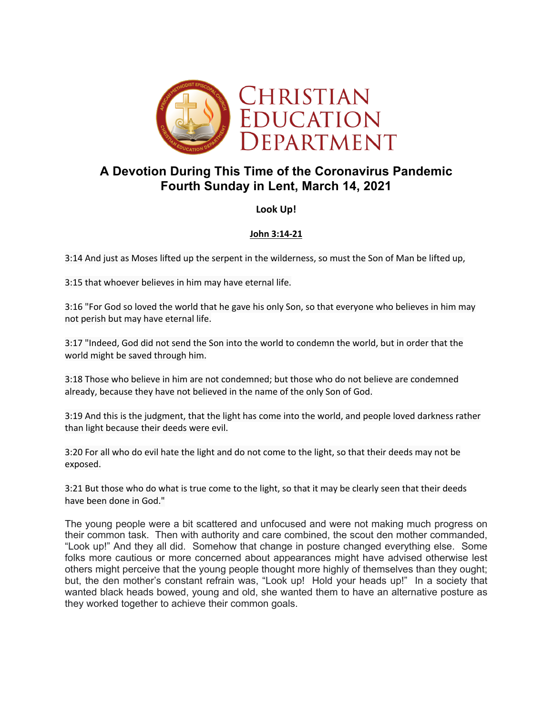

# **A Devotion During This Time of the Coronavirus Pandemic Fourth Sunday in Lent, March 14, 2021**

## **Look Up!**

#### **John 3:14-21**

3:14 And just as Moses lifted up the serpent in the wilderness, so must the Son of Man be lifted up,

3:15 that whoever believes in him may have eternal life.

3:16 "For God so loved the world that he gave his only Son, so that everyone who believes in him may not perish but may have eternal life.

3:17 "Indeed, God did not send the Son into the world to condemn the world, but in order that the world might be saved through him.

3:18 Those who believe in him are not condemned; but those who do not believe are condemned already, because they have not believed in the name of the only Son of God.

3:19 And this is the judgment, that the light has come into the world, and people loved darkness rather than light because their deeds were evil.

3:20 For all who do evil hate the light and do not come to the light, so that their deeds may not be exposed.

3:21 But those who do what is true come to the light, so that it may be clearly seen that their deeds have been done in God."

The young people were a bit scattered and unfocused and were not making much progress on their common task. Then with authority and care combined, the scout den mother commanded, "Look up!" And they all did. Somehow that change in posture changed everything else. Some folks more cautious or more concerned about appearances might have advised otherwise lest others might perceive that the young people thought more highly of themselves than they ought; but, the den mother's constant refrain was, "Look up! Hold your heads up!" In a society that wanted black heads bowed, young and old, she wanted them to have an alternative posture as they worked together to achieve their common goals.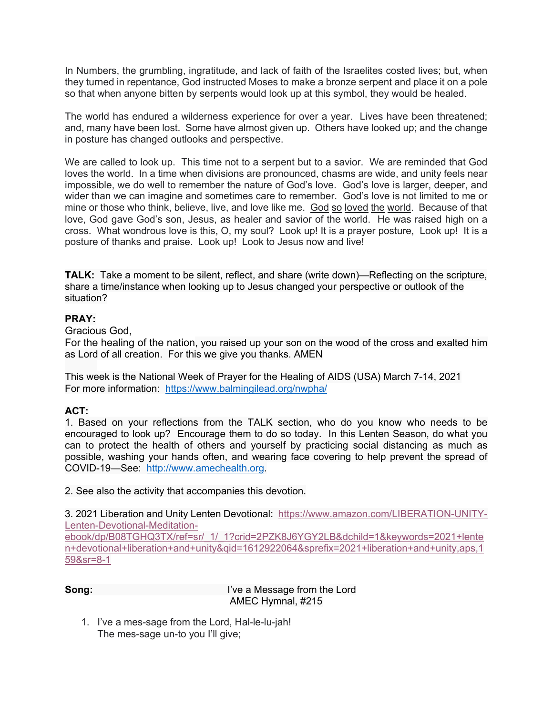In Numbers, the grumbling, ingratitude, and lack of faith of the Israelites costed lives; but, when they turned in repentance, God instructed Moses to make a bronze serpent and place it on a pole so that when anyone bitten by serpents would look up at this symbol, they would be healed.

The world has endured a wilderness experience for over a year. Lives have been threatened; and, many have been lost. Some have almost given up. Others have looked up; and the change in posture has changed outlooks and perspective.

We are called to look up. This time not to a serpent but to a savior. We are reminded that God loves the world. In a time when divisions are pronounced, chasms are wide, and unity feels near impossible, we do well to remember the nature of God's love. God's love is larger, deeper, and wider than we can imagine and sometimes care to remember. God's love is not limited to me or mine or those who think, believe, live, and love like me. God so loved the world. Because of that love, God gave God's son, Jesus, as healer and savior of the world. He was raised high on a cross. What wondrous love is this, O, my soul? Look up! It is a prayer posture, Look up! It is a posture of thanks and praise. Look up! Look to Jesus now and live!

**TALK:** Take a moment to be silent, reflect, and share (write down)—Reflecting on the scripture, share a time/instance when looking up to Jesus changed your perspective or outlook of the situation?

### **PRAY:**

Gracious God,

For the healing of the nation, you raised up your son on the wood of the cross and exalted him as Lord of all creation. For this we give you thanks. AMEN

This week is the National Week of Prayer for the Healing of AIDS (USA) March 7-14, 2021 For more information: https://www.balmingilead.org/nwpha/

## **ACT:**

1. Based on your reflections from the TALK section, who do you know who needs to be encouraged to look up? Encourage them to do so today. In this Lenten Season, do what you can to protect the health of others and yourself by practicing social distancing as much as possible, washing your hands often, and wearing face covering to help prevent the spread of COVID-19—See: http://www.amechealth.org.

2. See also the activity that accompanies this devotion.

3. 2021 Liberation and Unity Lenten Devotional: https://www.amazon.com/LIBERATION-UNITY-Lenten-Devotional-Meditation-

ebook/dp/B08TGHQ3TX/ref=sr/\_1/\_1?crid=2PZK8J6YGY2LB&dchild=1&keywords=2021+lente n+devotional+liberation+and+unity&qid=1612922064&sprefix=2021+liberation+and+unity,aps,1 59&sr=8-1

**Song:** I've a Message from the Lord AMEC Hymnal, #215

1. I've a mes-sage from the Lord, Hal-le-lu-jah! The mes-sage un-to you I'll give;